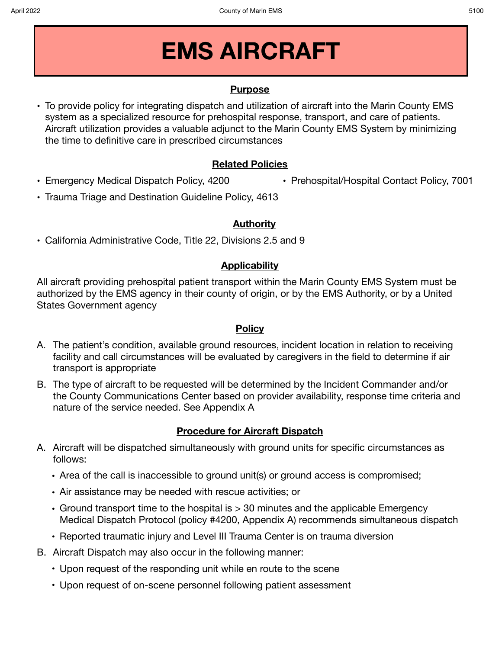# **EMS AIRCRAFT**

#### **Purpose**

**•** To provide policy for integrating dispatch and utilization of aircraft into the Marin County EMS system as a specialized resource for prehospital response, transport, and care of patients. Aircraft utilization provides a valuable adjunct to the Marin County EMS System by minimizing the time to definitive care in prescribed circumstances

#### **Related Policies**

- **•** Emergency Medical Dispatch Policy, 4200
- **•** Prehospital/Hospital Contact Policy, 7001
- **•** Trauma Triage and Destination Guideline Policy, 4613

#### **Authority**

**•** California Administrative Code, Title 22, Divisions 2.5 and 9

### **Applicability**

All aircraft providing prehospital patient transport within the Marin County EMS System must be authorized by the EMS agency in their county of origin, or by the EMS Authority, or by a United States Government agency

#### **Policy**

- A. The patient's condition, available ground resources, incident location in relation to receiving facility and call circumstances will be evaluated by caregivers in the field to determine if air transport is appropriate
- B. The type of aircraft to be requested will be determined by the Incident Commander and/or the County Communications Center based on provider availability, response time criteria and nature of the service needed. See Appendix A

### **Procedure for Aircraft Dispatch**

- A. Aircraft will be dispatched simultaneously with ground units for specific circumstances as follows:
	- Area of the call is inaccessible to ground unit(s) or ground access is compromised;
	- Air assistance may be needed with rescue activities; or
	- Ground transport time to the hospital is > 30 minutes and the applicable Emergency Medical Dispatch Protocol (policy #4200, Appendix A) recommends simultaneous dispatch
	- Reported traumatic injury and Level III Trauma Center is on trauma diversion
- B. Aircraft Dispatch may also occur in the following manner:
	- Upon request of the responding unit while en route to the scene
	- Upon request of on-scene personnel following patient assessment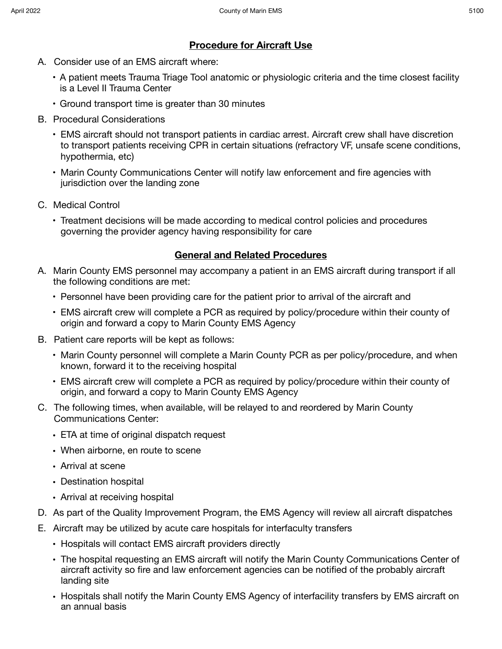# **Procedure for Aircraft Use**

- A. Consider use of an EMS aircraft where:
	- A patient meets Trauma Triage Tool anatomic or physiologic criteria and the time closest facility is a Level II Trauma Center
	- Ground transport time is greater than 30 minutes
- B. Procedural Considerations
	- EMS aircraft should not transport patients in cardiac arrest. Aircraft crew shall have discretion to transport patients receiving CPR in certain situations (refractory VF, unsafe scene conditions, hypothermia, etc)
	- Marin County Communications Center will notify law enforcement and fire agencies with jurisdiction over the landing zone
- C. Medical Control
	- Treatment decisions will be made according to medical control policies and procedures governing the provider agency having responsibility for care

# **General and Related Procedures**

- A. Marin County EMS personnel may accompany a patient in an EMS aircraft during transport if all the following conditions are met:
	- Personnel have been providing care for the patient prior to arrival of the aircraft and
	- EMS aircraft crew will complete a PCR as required by policy/procedure within their county of origin and forward a copy to Marin County EMS Agency
- B. Patient care reports will be kept as follows:
	- Marin County personnel will complete a Marin County PCR as per policy/procedure, and when known, forward it to the receiving hospital
	- EMS aircraft crew will complete a PCR as required by policy/procedure within their county of origin, and forward a copy to Marin County EMS Agency
- C. The following times, when available, will be relayed to and reordered by Marin County Communications Center:
	- ETA at time of original dispatch request
	- When airborne, en route to scene
	- Arrival at scene
	- Destination hospital
	- Arrival at receiving hospital
- D. As part of the Quality Improvement Program, the EMS Agency will review all aircraft dispatches
- E. Aircraft may be utilized by acute care hospitals for interfaculty transfers
	- Hospitals will contact EMS aircraft providers directly
	- The hospital requesting an EMS aircraft will notify the Marin County Communications Center of aircraft activity so fire and law enforcement agencies can be notified of the probably aircraft landing site
	- Hospitals shall notify the Marin County EMS Agency of interfacility transfers by EMS aircraft on an annual basis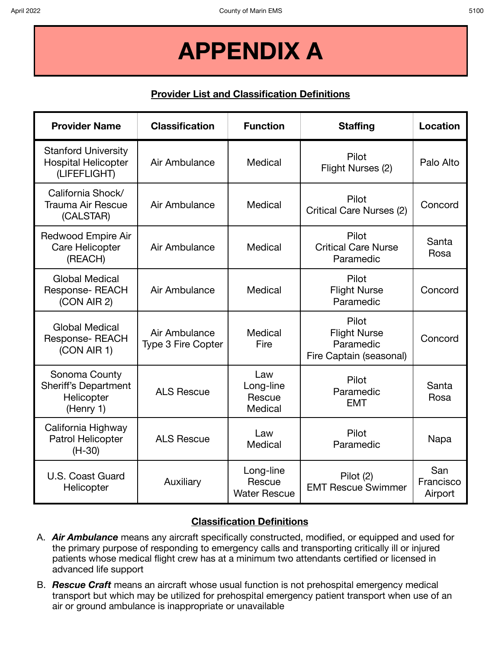# **APPENDIX A**

# **Provider List and Classification Definitions**

| <b>Provider Name</b>                                                     | <b>Classification</b>                      | <b>Function</b>                            | <b>Staffing</b>                                                      | Location                    |
|--------------------------------------------------------------------------|--------------------------------------------|--------------------------------------------|----------------------------------------------------------------------|-----------------------------|
| <b>Stanford University</b><br><b>Hospital Helicopter</b><br>(LIFEFLIGHT) | Air Ambulance                              | Medical                                    | Pilot<br>Flight Nurses (2)                                           | Palo Alto                   |
| California Shock/<br><b>Trauma Air Rescue</b><br>(CALSTAR)               | Air Ambulance                              | Medical                                    | Pilot<br><b>Critical Care Nurses (2)</b>                             | Concord                     |
| <b>Redwood Empire Air</b><br>Care Helicopter<br>(REACH)                  | Air Ambulance                              | Medical                                    | Pilot<br><b>Critical Care Nurse</b><br>Paramedic                     | Santa<br>Rosa               |
| <b>Global Medical</b><br><b>Response- REACH</b><br>(CON AIR 2)           | Air Ambulance                              | Medical                                    | Pilot<br><b>Flight Nurse</b><br>Paramedic                            | Concord                     |
| <b>Global Medical</b><br><b>Response- REACH</b><br>(CON AIR 1)           | Air Ambulance<br><b>Type 3 Fire Copter</b> | Medical<br>Fire                            | Pilot<br><b>Flight Nurse</b><br>Paramedic<br>Fire Captain (seasonal) | Concord                     |
| Sonoma County<br><b>Sheriff's Department</b><br>Helicopter<br>(Henry 1)  | <b>ALS Rescue</b>                          | Law<br>Long-line<br>Rescue<br>Medical      | Pilot<br>Paramedic<br><b>EMT</b>                                     | Santa<br>Rosa               |
| California Highway<br>Patrol Helicopter<br>$(H-30)$                      | <b>ALS Rescue</b>                          | Law<br>Medical                             | Pilot<br>Paramedic                                                   | Napa                        |
| U.S. Coast Guard<br>Helicopter                                           | Auxiliary                                  | Long-line<br>Rescue<br><b>Water Rescue</b> | Pilot (2)<br><b>EMT Rescue Swimmer</b>                               | San<br>Francisco<br>Airport |

### **Classification Definitions**

- A. *Air Ambulance* means any aircraft specifically constructed, modified, or equipped and used for the primary purpose of responding to emergency calls and transporting critically ill or injured patients whose medical flight crew has at a minimum two attendants certified or licensed in advanced life support
- B. *Rescue Craft* means an aircraft whose usual function is not prehospital emergency medical transport but which may be utilized for prehospital emergency patient transport when use of an air or ground ambulance is inappropriate or unavailable